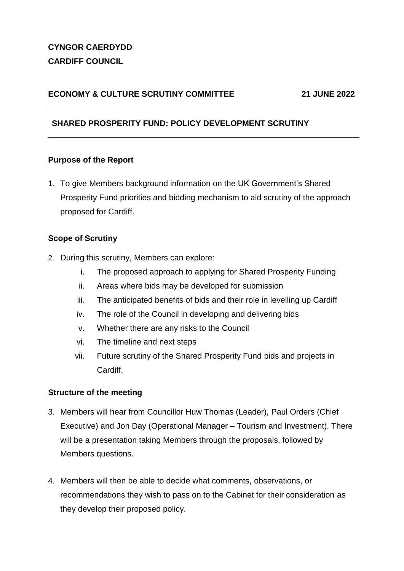# **ECONOMY & CULTURE SCRUTINY COMMITTEE 21 JUNE 2022**

### **SHARED PROSPERITY FUND: POLICY DEVELOPMENT SCRUTINY**

#### **Purpose of the Report**

1. To give Members background information on the UK Government's Shared Prosperity Fund priorities and bidding mechanism to aid scrutiny of the approach proposed for Cardiff.

#### **Scope of Scrutiny**

- 2. During this scrutiny, Members can explore:
	- i. The proposed approach to applying for Shared Prosperity Funding
	- ii. Areas where bids may be developed for submission
	- iii. The anticipated benefits of bids and their role in levelling up Cardiff
	- iv. The role of the Council in developing and delivering bids
	- v. Whether there are any risks to the Council
	- vi. The timeline and next steps
	- vii. Future scrutiny of the Shared Prosperity Fund bids and projects in Cardiff.

#### **Structure of the meeting**

- 3. Members will hear from Councillor Huw Thomas (Leader), Paul Orders (Chief Executive) and Jon Day (Operational Manager – Tourism and Investment). There will be a presentation taking Members through the proposals, followed by Members questions.
- 4. Members will then be able to decide what comments, observations, or recommendations they wish to pass on to the Cabinet for their consideration as they develop their proposed policy.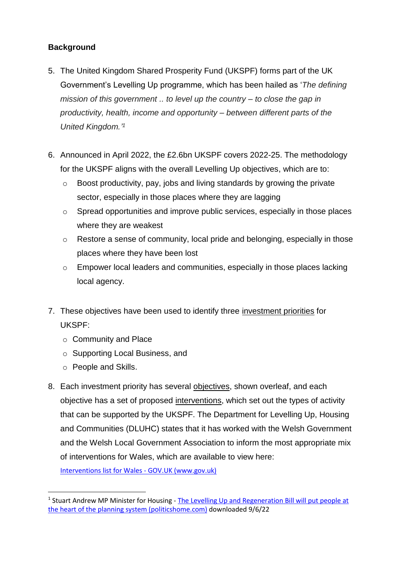# **Background**

- 5. The United Kingdom Shared Prosperity Fund (UKSPF) forms part of the UK Government's Levelling Up programme, which has been hailed as '*The defining mission of this government .. to level up the country – to close the gap in productivity, health, income and opportunity – between different parts of the United Kingdom.' 1*
- 6. Announced in April 2022, the £2.6bn UKSPF covers 2022-25. The methodology for the UKSPF aligns with the overall Levelling Up objectives, which are to:
	- $\circ$  Boost productivity, pay, jobs and living standards by growing the private sector, especially in those places where they are lagging
	- o Spread opportunities and improve public services, especially in those places where they are weakest
	- o Restore a sense of community, local pride and belonging, especially in those places where they have been lost
	- o Empower local leaders and communities, especially in those places lacking local agency.
- 7. These objectives have been used to identify three investment priorities for UKSPF:
	- o Community and Place
	- o Supporting Local Business, and
	- o People and Skills.

 $\overline{\phantom{a}}$ 

8. Each investment priority has several objectives, shown overleaf, and each objective has a set of proposed interventions, which set out the types of activity that can be supported by the UKSPF. The Department for Levelling Up, Housing and Communities (DLUHC) states that it has worked with the Welsh Government and the Welsh Local Government Association to inform the most appropriate mix of interventions for Wales, which are available to view here:

[Interventions list for Wales -](https://www.gov.uk/government/publications/uk-shared-prosperity-fund-interventions-outputs-and-indicators/interventions-list-for-wales) GOV.UK (www.gov.uk)

<sup>&</sup>lt;sup>1</sup> Stuart Andrew MP Minister for Housing - The Levelling Up and Regeneration Bill will put people at [the heart of the planning system \(politicshome.com\)](https://www.politicshome.com/thehouse/article/the-levelling-up-and-regeneration-bill-will-put-people-at-the-heart-of-the-planning-system?utm_medium=email&utm_campaign=EB%200806&utm_content=EB%200806+CID_1291f84a58f4ba472dfe243ed9427d0d&utm_source=Email%20newsletters&utm_term=The%20Levelling%20Up%20and%20Regeneration%20Bill%20will%20put%20people%20at%20the%20heart%20of%20the%20planning%20system) downloaded 9/6/22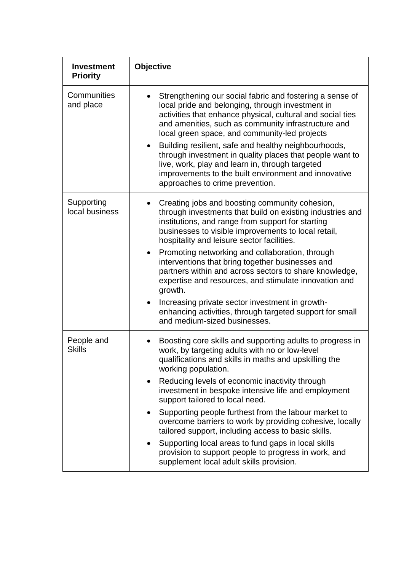| <b>Investment</b><br><b>Priority</b> | Objective                                                                                                                                                                                                                                                                                                                                                                                                                                                                                                                                                                                                                                                                                               |
|--------------------------------------|---------------------------------------------------------------------------------------------------------------------------------------------------------------------------------------------------------------------------------------------------------------------------------------------------------------------------------------------------------------------------------------------------------------------------------------------------------------------------------------------------------------------------------------------------------------------------------------------------------------------------------------------------------------------------------------------------------|
| Communities<br>and place             | Strengthening our social fabric and fostering a sense of<br>local pride and belonging, through investment in<br>activities that enhance physical, cultural and social ties<br>and amenities, such as community infrastructure and<br>local green space, and community-led projects<br>Building resilient, safe and healthy neighbourhoods,<br>through investment in quality places that people want to<br>live, work, play and learn in, through targeted<br>improvements to the built environment and innovative<br>approaches to crime prevention.                                                                                                                                                    |
| Supporting<br>local business         | Creating jobs and boosting community cohesion,<br>through investments that build on existing industries and<br>institutions, and range from support for starting<br>businesses to visible improvements to local retail,<br>hospitality and leisure sector facilities.<br>Promoting networking and collaboration, through<br>interventions that bring together businesses and<br>partners within and across sectors to share knowledge,<br>expertise and resources, and stimulate innovation and<br>growth.<br>Increasing private sector investment in growth-<br>enhancing activities, through targeted support for small<br>and medium-sized businesses.                                               |
| People and<br><b>Skills</b>          | Boosting core skills and supporting adults to progress in<br>work, by targeting adults with no or low-level<br>qualifications and skills in maths and upskilling the<br>working population.<br>Reducing levels of economic inactivity through<br>investment in bespoke intensive life and employment<br>support tailored to local need.<br>Supporting people furthest from the labour market to<br>$\bullet$<br>overcome barriers to work by providing cohesive, locally<br>tailored support, including access to basic skills.<br>Supporting local areas to fund gaps in local skills<br>$\bullet$<br>provision to support people to progress in work, and<br>supplement local adult skills provision. |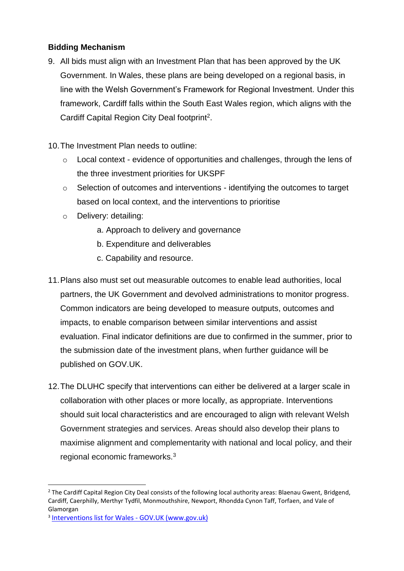# **Bidding Mechanism**

9. All bids must align with an Investment Plan that has been approved by the UK Government. In Wales, these plans are being developed on a regional basis, in line with the Welsh Government's Framework for Regional Investment. Under this framework, Cardiff falls within the South East Wales region, which aligns with the Cardiff Capital Region City Deal footprint<sup>2</sup>.

10.The Investment Plan needs to outline:

- o Local context evidence of opportunities and challenges, through the lens of the three investment priorities for UKSPF
- $\circ$  Selection of outcomes and interventions identifying the outcomes to target based on local context, and the interventions to prioritise
- o Delivery: detailing:
	- a. Approach to delivery and governance
	- b. Expenditure and deliverables
	- c. Capability and resource.
- 11.Plans also must set out measurable outcomes to enable lead authorities, local partners, the UK Government and devolved administrations to monitor progress. Common indicators are being developed to measure outputs, outcomes and impacts, to enable comparison between similar interventions and assist evaluation. Final indicator definitions are due to confirmed in the summer, prior to the submission date of the investment plans, when further guidance will be published on GOV.UK.
- 12.The DLUHC specify that interventions can either be delivered at a larger scale in collaboration with other places or more locally, as appropriate. Interventions should suit local characteristics and are encouraged to align with relevant Welsh Government strategies and services. Areas should also develop their plans to maximise alignment and complementarity with national and local policy, and their regional economic frameworks.<sup>3</sup>

l

<sup>&</sup>lt;sup>2</sup> The Cardiff Capital Region City Deal consists of the following local authority areas: Blaenau Gwent, Bridgend, Cardiff, Caerphilly, Merthyr Tydfil, Monmouthshire, Newport, Rhondda Cynon Taff, Torfaen, and Vale of Glamorgan

<sup>&</sup>lt;sup>3</sup> [Interventions list for Wales -](https://www.gov.uk/government/publications/uk-shared-prosperity-fund-interventions-outputs-and-indicators/interventions-list-for-wales) GOV.UK (www.gov.uk)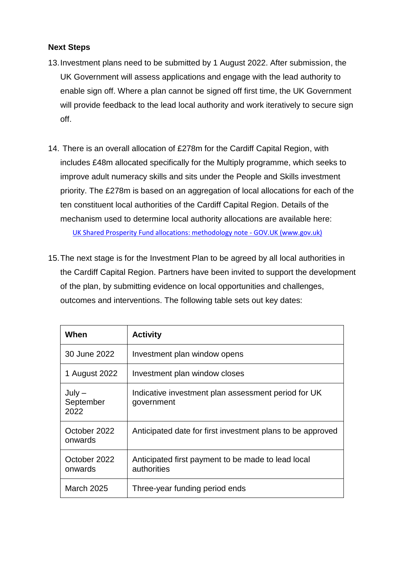# **Next Steps**

- 13.Investment plans need to be submitted by 1 August 2022. After submission, the UK Government will assess applications and engage with the lead authority to enable sign off. Where a plan cannot be signed off first time, the UK Government will provide feedback to the lead local authority and work iteratively to secure sign off.
- 14. There is an overall allocation of £278m for the Cardiff Capital Region, with includes £48m allocated specifically for the Multiply programme, which seeks to improve adult numeracy skills and sits under the People and Skills investment priority. The £278m is based on an aggregation of local allocations for each of the ten constituent local authorities of the Cardiff Capital Region. Details of the mechanism used to determine local authority allocations are available here:

[UK Shared Prosperity Fund allocations: methodology note -](https://www.gov.uk/government/publications/uk-shared-prosperity-fund-allocations-methodology/uk-shared-prosperity-fund-allocations-methodology-note) GOV.UK (www.gov.uk)

15.The next stage is for the Investment Plan to be agreed by all local authorities in the Cardiff Capital Region. Partners have been invited to support the development of the plan, by submitting evidence on local opportunities and challenges, outcomes and interventions. The following table sets out key dates:

| When                          | <b>Activity</b>                                                   |
|-------------------------------|-------------------------------------------------------------------|
| 30 June 2022                  | Investment plan window opens                                      |
| 1 August 2022                 | Investment plan window closes                                     |
| $July -$<br>September<br>2022 | Indicative investment plan assessment period for UK<br>government |
| October 2022<br>onwards       | Anticipated date for first investment plans to be approved        |
| October 2022<br>onwards       | Anticipated first payment to be made to lead local<br>authorities |
| <b>March 2025</b>             | Three-year funding period ends                                    |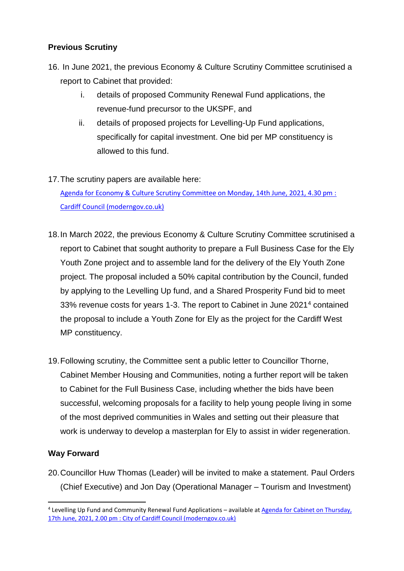# **Previous Scrutiny**

- 16. In June 2021, the previous Economy & Culture Scrutiny Committee scrutinised a report to Cabinet that provided:
	- i. details of proposed Community Renewal Fund applications, the revenue-fund precursor to the UKSPF, and
	- ii. details of proposed projects for Levelling-Up Fund applications, specifically for capital investment. One bid per MP constituency is allowed to this fund.

#### 17.The scrutiny papers are available here:

Agenda for [Economy & Culture Scrutiny Committee on Monday, 14th June, 2021, 4.30 pm :](https://cardiff.moderngov.co.uk/ieListDocuments.aspx?CId=142&MId=5436&LLL=0)  [Cardiff Council \(moderngov.co.uk\)](https://cardiff.moderngov.co.uk/ieListDocuments.aspx?CId=142&MId=5436&LLL=0)

- 18.In March 2022, the previous Economy & Culture Scrutiny Committee scrutinised a report to Cabinet that sought authority to prepare a Full Business Case for the Ely Youth Zone project and to assemble land for the delivery of the Ely Youth Zone project. The proposal included a 50% capital contribution by the Council, funded by applying to the Levelling Up fund, and a Shared Prosperity Fund bid to meet 33% revenue costs for years 1-3. The report to Cabinet in June 2021<sup>4</sup> contained the proposal to include a Youth Zone for Ely as the project for the Cardiff West MP constituency.
- 19.Following scrutiny, the Committee sent a public letter to Councillor Thorne, Cabinet Member Housing and Communities, noting a further report will be taken to Cabinet for the Full Business Case, including whether the bids have been successful, welcoming proposals for a facility to help young people living in some of the most deprived communities in Wales and setting out their pleasure that work is underway to develop a masterplan for Ely to assist in wider regeneration.

### **Way Forward**

20.Councillor Huw Thomas (Leader) will be invited to make a statement. Paul Orders (Chief Executive) and Jon Day (Operational Manager – Tourism and Investment)

 $\overline{\phantom{a}}$ <sup>4</sup> Levelling Up Fund and Community Renewal Fund Applications - available at Agenda for Cabinet on Thursday, [17th June, 2021, 2.00 pm : City of Cardiff Council \(moderngov.co.uk\)](https://cardiff.moderngov.co.uk/ieListDocuments.aspx?CId=151&MId=5473&LLL=0)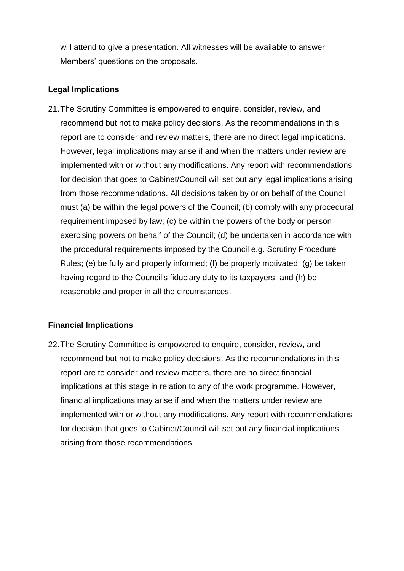will attend to give a presentation. All witnesses will be available to answer Members' questions on the proposals.

#### **Legal Implications**

21.The Scrutiny Committee is empowered to enquire, consider, review, and recommend but not to make policy decisions. As the recommendations in this report are to consider and review matters, there are no direct legal implications. However, legal implications may arise if and when the matters under review are implemented with or without any modifications. Any report with recommendations for decision that goes to Cabinet/Council will set out any legal implications arising from those recommendations. All decisions taken by or on behalf of the Council must (a) be within the legal powers of the Council; (b) comply with any procedural requirement imposed by law; (c) be within the powers of the body or person exercising powers on behalf of the Council; (d) be undertaken in accordance with the procedural requirements imposed by the Council e.g. Scrutiny Procedure Rules; (e) be fully and properly informed; (f) be properly motivated; (g) be taken having regard to the Council's fiduciary duty to its taxpayers; and (h) be reasonable and proper in all the circumstances.

### **Financial Implications**

22.The Scrutiny Committee is empowered to enquire, consider, review, and recommend but not to make policy decisions. As the recommendations in this report are to consider and review matters, there are no direct financial implications at this stage in relation to any of the work programme. However, financial implications may arise if and when the matters under review are implemented with or without any modifications. Any report with recommendations for decision that goes to Cabinet/Council will set out any financial implications arising from those recommendations.